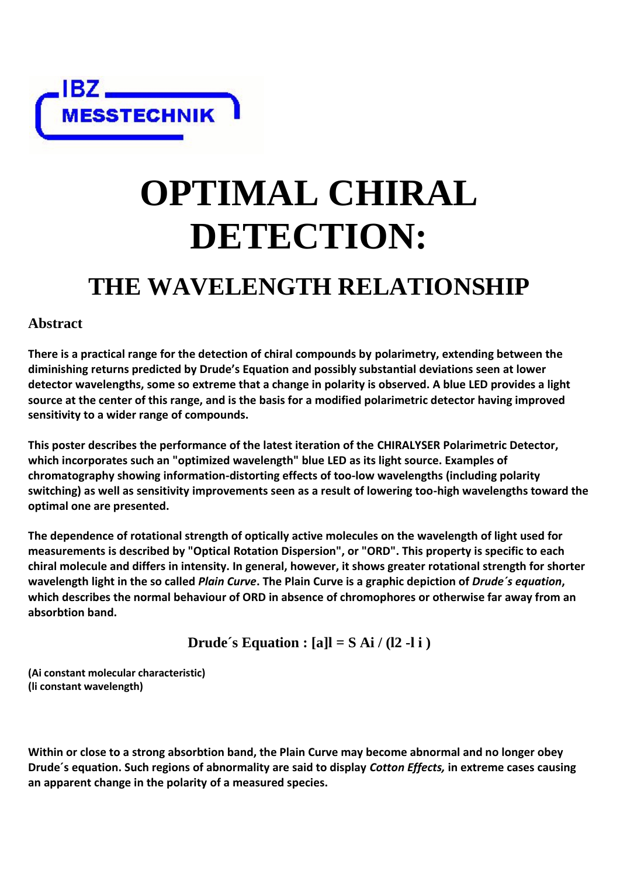IDZ <del>\_\_\_\_\_\_\_\_\_</del><br>MESSTECHNIK

# **OPTIMAL CHIRAL DETECTION:**

## **THE WAVELENGTH RELATIONSHIP**

### **Abstract**

**There is a practical range for the detection of chiral compounds by polarimetry, extending between the diminishing returns predicted by Drude's Equation and possibly substantial deviations seen at lower detector wavelengths, some so extreme that a change in polarity is observed. A blue LED provides a light source at the center of this range, and is the basis for a modified polarimetric detector having improved sensitivity to a wider range of compounds.**

**This poster describes the performance of the latest iteration of the CHIRALYSER Polarimetric Detector, which incorporates such an "optimized wavelength" blue LED as its light source. Examples of chromatography showing information-distorting effects of too-low wavelengths (including polarity switching) as well as sensitivity improvements seen as a result of lowering too-high wavelengths toward the optimal one are presented.**

**The dependence of rotational strength of optically active molecules on the wavelength of light used for measurements is described by "Optical Rotation Dispersion", or "ORD". This property is specific to each chiral molecule and differs in intensity. In general, however, it shows greater rotational strength for shorter wavelength light in the so called** *Plain Curve***. The Plain Curve is a graphic depiction of** *Drude´s equation***, which describes the normal behaviour of ORD in absence of chromophores or otherwise far away from an absorbtion band.**

**Drude's Equation :**  $[a]l = S Ai / (l2 - l i)$ 

**(Ai constant molecular characteristic) (li constant wavelength)**

**Within or close to a strong absorbtion band, the Plain Curve may become abnormal and no longer obey Drude´s equation. Such regions of abnormality are said to display** *Cotton Effects,* **in extreme cases causing an apparent change in the polarity of a measured species.**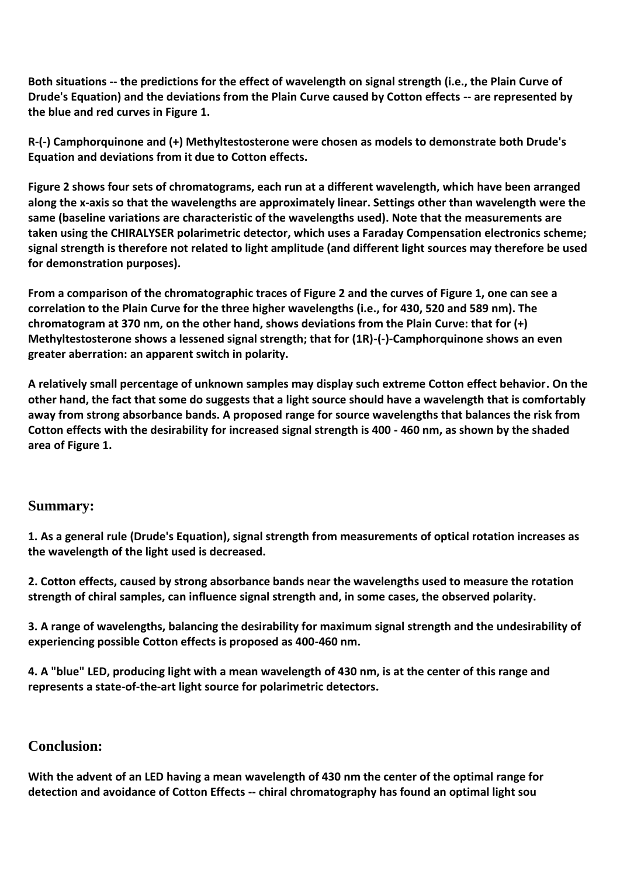**Both situations -- the predictions for the effect of wavelength on signal strength (i.e., the Plain Curve of Drude's Equation) and the deviations from the Plain Curve caused by Cotton effects -- are represented by the blue and red curves in Figure 1.** 

**R-(-) Camphorquinone and (+) Methyltestosterone were chosen as models to demonstrate both Drude's Equation and deviations from it due to Cotton effects.**

**Figure 2 shows four sets of chromatograms, each run at a different wavelength, which have been arranged along the x-axis so that the wavelengths are approximately linear. Settings other than wavelength were the same (baseline variations are characteristic of the wavelengths used). Note that the measurements are taken using the CHIRALYSER polarimetric detector, which uses a Faraday Compensation electronics scheme; signal strength is therefore not related to light amplitude (and different light sources may therefore be used for demonstration purposes).** 

**From a comparison of the chromatographic traces of Figure 2 and the curves of Figure 1, one can see a correlation to the Plain Curve for the three higher wavelengths (i.e., for 430, 520 and 589 nm). The chromatogram at 370 nm, on the other hand, shows deviations from the Plain Curve: that for (+) Methyltestosterone shows a lessened signal strength; that for (1R)-(-)-Camphorquinone shows an even greater aberration: an apparent switch in polarity.** 

**A relatively small percentage of unknown samples may display such extreme Cotton effect behavior. On the other hand, the fact that some do suggests that a light source should have a wavelength that is comfortably away from strong absorbance bands. A proposed range for source wavelengths that balances the risk from Cotton effects with the desirability for increased signal strength is 400 - 460 nm, as shown by the shaded area of Figure 1.**

#### **Summary:**

**1. As a general rule (Drude's Equation), signal strength from measurements of optical rotation increases as the wavelength of the light used is decreased.**

**2. Cotton effects, caused by strong absorbance bands near the wavelengths used to measure the rotation strength of chiral samples, can influence signal strength and, in some cases, the observed polarity.**

**3. A range of wavelengths, balancing the desirability for maximum signal strength and the undesirability of experiencing possible Cotton effects is proposed as 400-460 nm.**

**4. A "blue" LED, producing light with a mean wavelength of 430 nm, is at the center of this range and represents a state-of-the-art light source for polarimetric detectors.**

#### **Conclusion:**

**With the advent of an LED having a mean wavelength of 430 nm the center of the optimal range for detection and avoidance of Cotton Effects -- chiral chromatography has found an optimal light sou**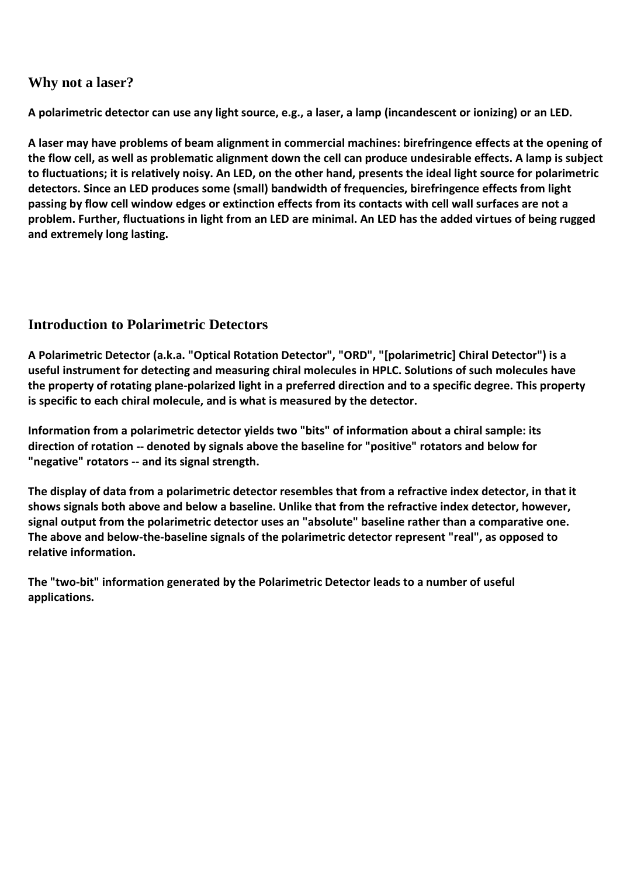#### **Why not a laser?**

**A polarimetric detector can use any light source, e.g., a laser, a lamp (incandescent or ionizing) or an LED.** 

**A laser may have problems of beam alignment in commercial machines: birefringence effects at the opening of the flow cell, as well as problematic alignment down the cell can produce undesirable effects. A lamp is subject to fluctuations; it is relatively noisy. An LED, on the other hand, presents the ideal light source for polarimetric detectors. Since an LED produces some (small) bandwidth of frequencies, birefringence effects from light passing by flow cell window edges or extinction effects from its contacts with cell wall surfaces are not a problem. Further, fluctuations in light from an LED are minimal. An LED has the added virtues of being rugged and extremely long lasting.**

### **Introduction to Polarimetric Detectors**

**A Polarimetric Detector (a.k.a. "Optical Rotation Detector", "ORD", "[polarimetric] Chiral Detector") is a useful instrument for detecting and measuring chiral molecules in HPLC. Solutions of such molecules have the property of rotating plane-polarized light in a preferred direction and to a specific degree. This property is specific to each chiral molecule, and is what is measured by the detector.**

**Information from a polarimetric detector yields two "bits" of information about a chiral sample: its direction of rotation -- denoted by signals above the baseline for "positive" rotators and below for "negative" rotators -- and its signal strength.** 

**The display of data from a polarimetric detector resembles that from a refractive index detector, in that it shows signals both above and below a baseline. Unlike that from the refractive index detector, however, signal output from the polarimetric detector uses an "absolute" baseline rather than a comparative one. The above and below-the-baseline signals of the polarimetric detector represent "real", as opposed to relative information.**

**The "two-bit" information generated by the Polarimetric Detector leads to a number of useful applications.**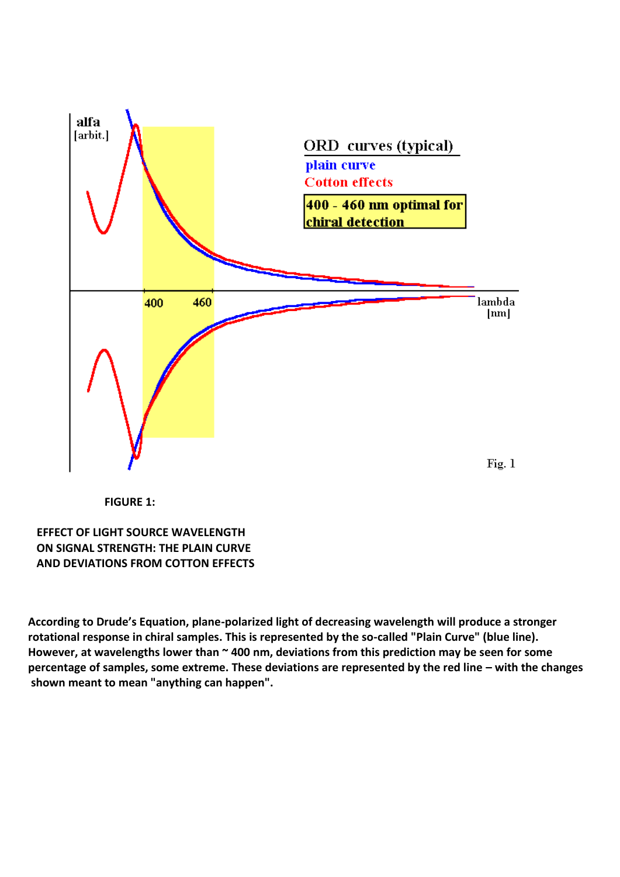

 **FIGURE 1:** 

**EFFECT OF LIGHT SOURCE WAVELENGTH ON SIGNAL STRENGTH: THE PLAIN CURVE AND DEVIATIONS FROM COTTON EFFECTS**

**According to Drude's Equation, plane-polarized light of decreasing wavelength will produce a stronger rotational response in chiral samples. This is represented by the so-called "Plain Curve" (blue line). However, at wavelengths lower than ~ 400 nm, deviations from this prediction may be seen for some percentage of samples, some extreme. These deviations are represented by the red line – with the changes shown meant to mean "anything can happen".**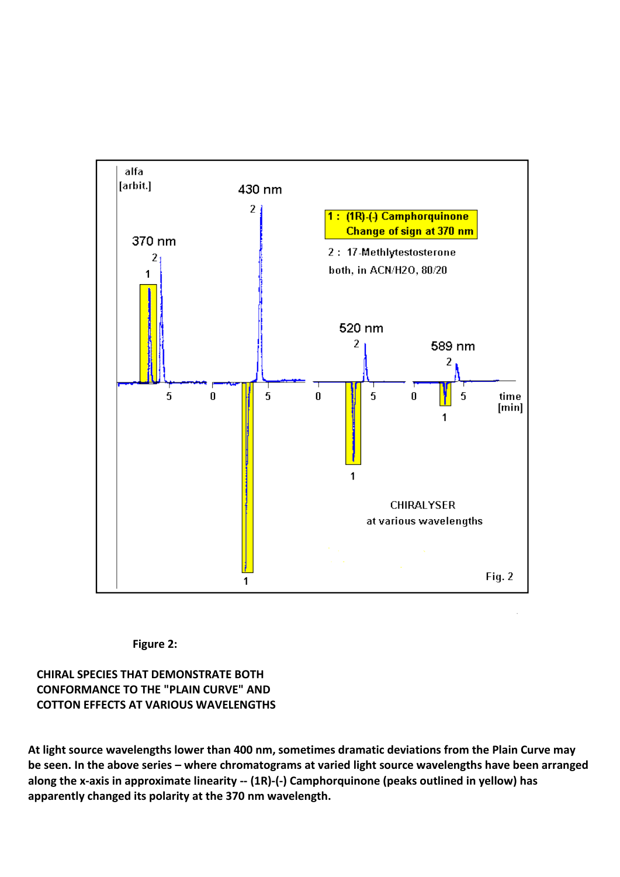

#### **Figure 2:**

**CHIRAL SPECIES THAT DEMONSTRATE BOTH CONFORMANCE TO THE "PLAIN CURVE" AND COTTON EFFECTS AT VARIOUS WAVELENGTHS**

**At light source wavelengths lower than 400 nm, sometimes dramatic deviations from the Plain Curve may be seen. In the above series – where chromatograms at varied light source wavelengths have been arranged along the x-axis in approximate linearity -- (1R)-(-) Camphorquinone (peaks outlined in yellow) has apparently changed its polarity at the 370 nm wavelength.**